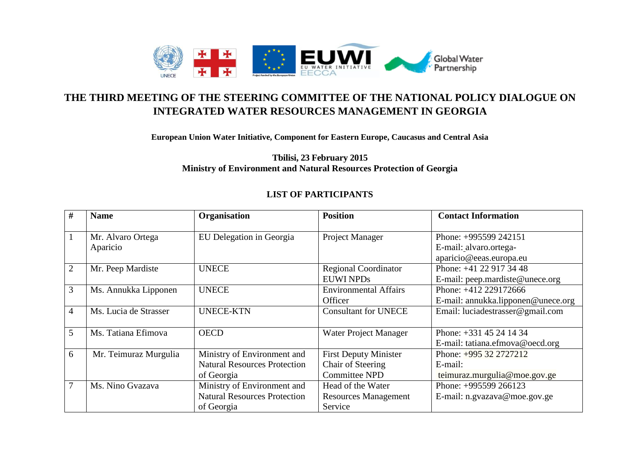

## **THE THIRD MEETING OF THE STEERING COMMITTEE OF THE NATIONAL POLICY DIALOGUE ON INTEGRATED WATER RESOURCES MANAGEMENT IN GEORGIA**

**European Union Water Initiative, Component for Eastern Europe, Caucasus and Central Asia** 

**Tbilisi, 23 February 2015 Ministry of Environment and Natural Resources Protection of Georgia**

## **LIST OF PARTICIPANTS**

| #              | <b>Name</b>                   | Organisation                                                                     | <b>Position</b>                                                           | <b>Contact Information</b>                                                 |
|----------------|-------------------------------|----------------------------------------------------------------------------------|---------------------------------------------------------------------------|----------------------------------------------------------------------------|
|                | Mr. Alvaro Ortega<br>Aparicio | EU Delegation in Georgia                                                         | Project Manager                                                           | Phone: +995599 242151<br>E-mail: alvaro.ortega-<br>aparicio@eeas.europa.eu |
| $\overline{2}$ | Mr. Peep Mardiste             | <b>UNECE</b>                                                                     | <b>Regional Coordinator</b><br><b>EUWI NPDs</b>                           | Phone: +41 22 917 34 48<br>E-mail: peep.mardiste@unece.org                 |
| 3              | Ms. Annukka Lipponen          | <b>UNECE</b>                                                                     | <b>Environmental Affairs</b><br>Officer                                   | Phone: +412 229172666<br>E-mail: annukka.lipponen@unece.org                |
| 4              | Ms. Lucia de Strasser         | <b>UNECE-KTN</b>                                                                 | <b>Consultant for UNECE</b>                                               | Email: luciadestrasser@gmail.com                                           |
| 5              | Ms. Tatiana Efimova           | <b>OECD</b>                                                                      | <b>Water Project Manager</b>                                              | Phone: +331 45 24 14 34<br>E-mail: tatiana.efmova@oecd.org                 |
| 6              | Mr. Teimuraz Murgulia         | Ministry of Environment and<br><b>Natural Resources Protection</b><br>of Georgia | <b>First Deputy Minister</b><br>Chair of Steering<br><b>Committee NPD</b> | Phone: $+995$ 32 2727212<br>E-mail:<br>teimuraz.murgulia@moe.gov.ge        |
| 7              | Ms. Nino Gvazava              | Ministry of Environment and<br><b>Natural Resources Protection</b><br>of Georgia | Head of the Water<br><b>Resources Management</b><br>Service               | Phone: +995599 266123<br>E-mail: n.gvazava@moe.gov.ge                      |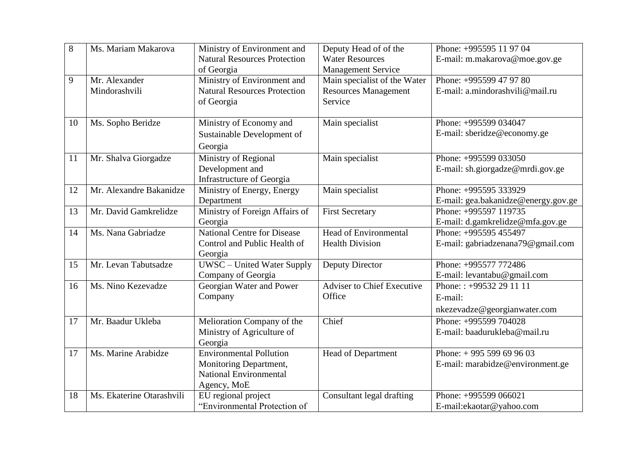| 8  | Ms. Mariam Makarova       | Ministry of Environment and         | Deputy Head of of the             | Phone: +995595 11 97 04             |
|----|---------------------------|-------------------------------------|-----------------------------------|-------------------------------------|
|    |                           | <b>Natural Resources Protection</b> | <b>Water Resources</b>            | E-mail: m.makarova@moe.gov.ge       |
|    |                           | of Georgia                          | <b>Management Service</b>         |                                     |
| 9  | Mr. Alexander             | Ministry of Environment and         | Main specialist of the Water      | Phone: +995599 47 97 80             |
|    | Mindorashvili             | <b>Natural Resources Protection</b> | <b>Resources Management</b>       | E-mail: a.mindorashvili@mail.ru     |
|    |                           | of Georgia                          | Service                           |                                     |
|    |                           |                                     |                                   |                                     |
| 10 | Ms. Sopho Beridze         | Ministry of Economy and             | Main specialist                   | Phone: +995599 034047               |
|    |                           | Sustainable Development of          |                                   | E-mail: sberidze@economy.ge         |
|    |                           | Georgia                             |                                   |                                     |
| 11 | Mr. Shalva Giorgadze      | <b>Ministry of Regional</b>         | Main specialist                   | Phone: +995599 033050               |
|    |                           | Development and                     |                                   | E-mail: sh.giorgadze@mrdi.gov.ge    |
|    |                           | Infrastructure of Georgia           |                                   |                                     |
| 12 | Mr. Alexandre Bakanidze   | Ministry of Energy, Energy          | Main specialist                   | Phone: +995595 333929               |
|    |                           | Department                          |                                   | E-mail: gea.bakanidze@energy.gov.ge |
| 13 | Mr. David Gamkrelidze     | Ministry of Foreign Affairs of      | <b>First Secretary</b>            | Phone: +995597 119735               |
|    |                           | Georgia                             |                                   | E-mail: d.gamkrelidze@mfa.gov.ge    |
| 14 | Ms. Nana Gabriadze        | <b>National Centre for Disease</b>  | Head of Environmental             | Phone: +995595 455497               |
|    |                           | Control and Public Health of        | <b>Health Division</b>            | E-mail: gabriadzenana79@gmail.com   |
|    |                           | Georgia                             |                                   |                                     |
| 15 | Mr. Levan Tabutsadze      | UWSC - United Water Supply          | Deputy Director                   | Phone: +995577 772486               |
|    |                           | Company of Georgia                  |                                   | E-mail: levantabu@gmail.com         |
| 16 | Ms. Nino Kezevadze        | Georgian Water and Power            | <b>Adviser to Chief Executive</b> | Phone:: +99532 29 11 11             |
|    |                           | Company                             | Office                            | E-mail:                             |
|    |                           |                                     |                                   | nkezevadze@georgianwater.com        |
| 17 | Mr. Baadur Ukleba         | Melioration Company of the          | Chief                             | Phone: +995599 704028               |
|    |                           | Ministry of Agriculture of          |                                   | E-mail: baadurukleba@mail.ru        |
|    |                           | Georgia                             |                                   |                                     |
| 17 | Ms. Marine Arabidze       | <b>Environmental Pollution</b>      | Head of Department                | Phone: $+995599699603$              |
|    |                           | Monitoring Department,              |                                   | E-mail: marabidze@environment.ge    |
|    |                           | <b>National Environmental</b>       |                                   |                                     |
|    |                           | Agency, MoE                         |                                   |                                     |
| 18 | Ms. Ekaterine Otarashvili | EU regional project                 | Consultant legal drafting         | Phone: +995599 066021               |
|    |                           | "Environmental Protection of        |                                   | E-mail:ekaotar@yahoo.com            |